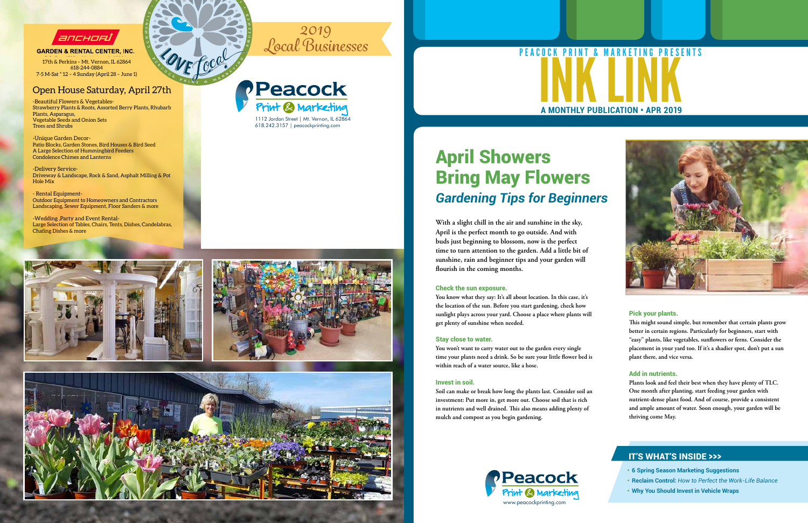

**GARDEN & RENTAL CENTER, INC.** 

#### Pick your plants.

**This might sound simple, but remember that certain plants grow better in certain regions. Particularly for beginners, start with "easy" plants, like vegetables, sunflowers or ferns. Consider the placement in your yard too. If it's a shadier spot, don't put a sun plant there, and vice versa.**

#### Add in nutrients.

**Plants look and feel their best when they have plenty of TLC. One month after planting, start feeding your garden with nutrient-dense plant food. And of course, provide a consistent and ample amount of water. Soon enough, your garden will be thriving come May.**

# April Showers Bring May Flowers *Gardening Tips for Beginners*

**With a slight chill in the air and sunshine in the sky, April is the perfect month to go outside. And with buds just beginning to blossom, now is the perfect time to turn attention to the garden. Add a little bit of sunshine, rain and beginner tips and your garden will flourish in the coming months.**

#### Check the sun exposure.

**You know what they say: It's all about location. In this case, it's the location of the sun. Before you start gardening, check how sunlight plays across your yard. Choose a place where plants will get plenty of sunshine when needed.**

#### Stay close to water.

# **A MONTHLY PUBLICATION • APR 2019** PEACOCK PRINT & MARKETING PRESENTS

**You won't want to carry water out to the garden every single time your plants need a drink. So be sure your little flower bed is within reach of a water source, like a hose.**

#### Invest in soil.

**Soil can make or break how long the plants last. Consider soil an investment: Put more in, get more out. Choose soil that is rich in nutrients and well drained. This also means adding plenty of mulch and compost as you begin gardening.**

- **• 6 Spring Season Marketing Suggestions**
- **• Reclaim Control:** *How to Perfect the Work-Life Balance*
- **• Why You Should Invest in Vehicle Wraps**

### IT'S WHAT'S INSIDE >>>

-Beautiful Flowers & Vegetables-Strawberry Plants & Roots, Assorted Berry Plants, Rhubarb Plants, Asparagus, Vegetable Seeds and Onion Sets Trees and Shrubs

-Unique Garden Decor-Patio Blocks, Garden Stones, Bird Houses & Bird Seed A Large Selection of Hummingbird Feeders Condolence Chimes and Lanterns

-Delivery Service-Driveway & Landscape, Rock & Sand, Asphalt Milling & Pot Hole Mix

P.O. Box 1725 Mt. Vernon, IL 62864 17th & Perkins – Mt. Vernon, IL 62864 618-244-0884 7-5 M-Sat \* 12 – 4 Sunday (April 28 – June 1)

- Rental Equipment-Outdoor Equipment to Homeowners and Contractors Landscaping, Sewer Equipment, Floor Sanders & more

-Wedding ,Party and Event Rental-Large Selection of Tables, Chairs, Tents, Dishes, Candelabras, Chafing Dishes & more

#### Open House Saturday, April 27th





**O M**

**RAVE** 

**E C C C K P R I N C C C C E E T C C C E E E C E** 

**T O W**

> 1112 Jordan Street | Mt. Vernon, IL 62864 618.242.3157 | peacockprinting.com